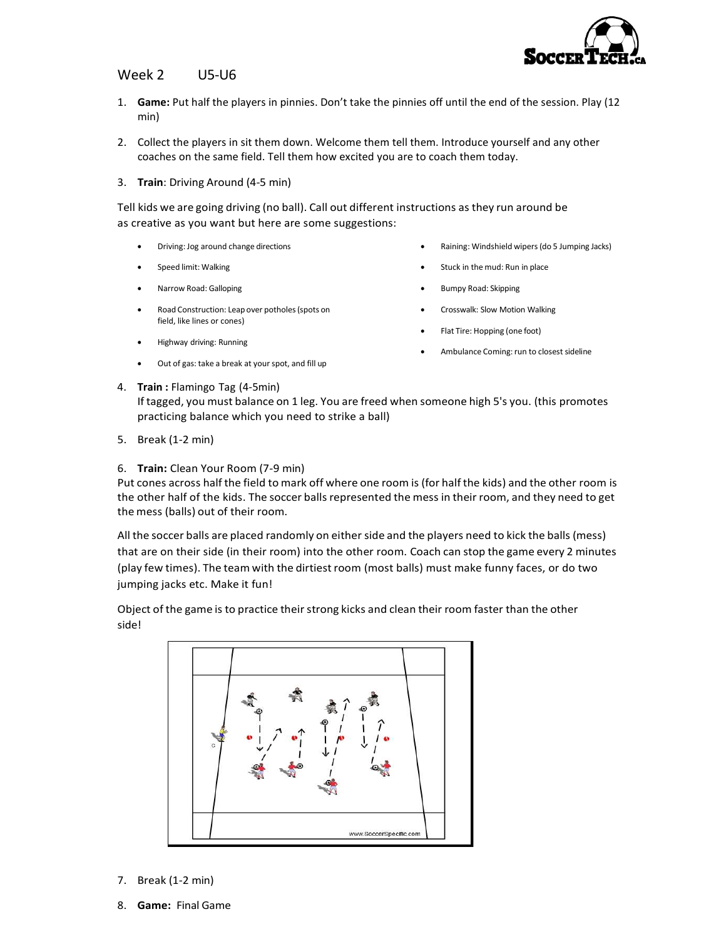

## Week 2 U5-U6

- 1. Game: Put half the players in pinnies. Don't take the pinnies off until the end of the session. Play (12 min)
- 2. Collect the players in sit them down. Welcome them tell them. Introduce yourself and any other coaches on the same field. Tell them how excited you are to coach them today.
- 3. Train: Driving Around (4-5 min)

Tell kids we are going driving (no ball). Call out different instructions as they run around be as creative as you want but here are some suggestions:

- Driving: Jog around change directions
- Speed limit: Walking
- Narrow Road: Galloping
- Road Construction: Leap over potholes (spots on field, like lines or cones)
- Highway driving: Running
- Out of gas: take a break at your spot, and fill up
- Raining: Windshield wipers (do 5 Jumping Jacks)
- Stuck in the mud: Run in place
- Bumpy Road: Skipping
- Crosswalk: Slow Motion Walking
- Flat Tire: Hopping (one foot)
- Ambulance Coming: run to closest sideline
- 4. Train : Flamingo Tag (4-5min) If tagged, you must balance on 1 leg. You are freed when someone high 5's you. (this promotes practicing balance which you need to strike a ball)
- 5. Break (1-2 min)
- 6. Train: Clean Your Room (7-9 min)

Put cones across half the field to mark off where one room is (for half the kids) and the other room is the other half of the kids. The soccer balls represented the mess in their room, and they need to get the mess (balls) out of their room.

All the soccer balls are placed randomly on either side and the players need to kick the balls (mess) that are on their side (in their room) into the other room. Coach can stop the game every 2 minutes (play few times). The team with the dirtiest room (most balls) must make funny faces, or do two jumping jacks etc. Make it fun!

Object of the game is to practice their strong kicks and clean their room faster than the other side!



- 7. Break (1-2 min)
- 8. Game: Final Game